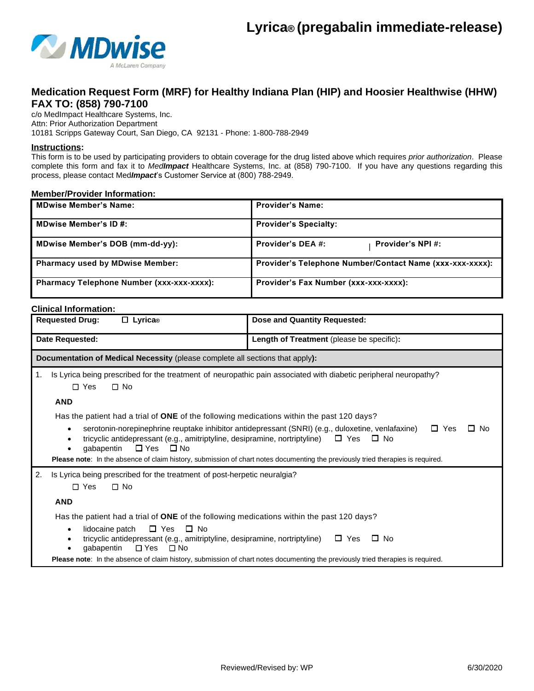

## **Medication Request Form (MRF) for Healthy Indiana Plan (HIP) and Hoosier Healthwise (HHW) FAX TO: (858) 790-7100**

c/o MedImpact Healthcare Systems, Inc. Attn: Prior Authorization Department 10181 Scripps Gateway Court, San Diego, CA 92131 - Phone: 1-800-788-2949

## **Instructions:**

This form is to be used by participating providers to obtain coverage for the drug listed above which requires *prior authorization*. Please complete this form and fax it to *MedImpact* Healthcare Systems, Inc. at (858) 790-7100. If you have any questions regarding this process, please contact Med*Impact*'s Customer Service at (800) 788-2949.

## **Member/Provider Information:**

| <b>MDwise Member's Name:</b>              | <b>Provider's Name:</b>                                  |
|-------------------------------------------|----------------------------------------------------------|
| <b>MDwise Member's ID#:</b>               | <b>Provider's Specialty:</b>                             |
| MDwise Member's DOB (mm-dd-yy):           | Provider's DEA #:<br><b>Provider's NPI#:</b>             |
| <b>Pharmacy used by MDwise Member:</b>    | Provider's Telephone Number/Contact Name (xxx-xxx-xxxx): |
| Pharmacy Telephone Number (xxx-xxx-xxxx): | Provider's Fax Number (xxx-xxx-xxxx):                    |

## **Clinical Information:**

| <b>Requested Drug:</b><br>$\Box$ Lyrica®                                                                                                                                                                                                                                                                                                                                                                                         | Dose and Quantity Requested:                                                                                                                               |  |  |
|----------------------------------------------------------------------------------------------------------------------------------------------------------------------------------------------------------------------------------------------------------------------------------------------------------------------------------------------------------------------------------------------------------------------------------|------------------------------------------------------------------------------------------------------------------------------------------------------------|--|--|
| Date Requested:                                                                                                                                                                                                                                                                                                                                                                                                                  | Length of Treatment (please be specific):                                                                                                                  |  |  |
| Documentation of Medical Necessity (please complete all sections that apply):                                                                                                                                                                                                                                                                                                                                                    |                                                                                                                                                            |  |  |
| Is Lyrica being prescribed for the treatment of neuropathic pain associated with diabetic peripheral neuropathy?<br>1.<br>$\Box$ Yes<br>$\Box$ No                                                                                                                                                                                                                                                                                |                                                                                                                                                            |  |  |
| <b>AND</b>                                                                                                                                                                                                                                                                                                                                                                                                                       |                                                                                                                                                            |  |  |
| Has the patient had a trial of ONE of the following medications within the past 120 days?                                                                                                                                                                                                                                                                                                                                        |                                                                                                                                                            |  |  |
| serotonin-norepinephrine reuptake inhibitor antidepressant (SNRI) (e.g., duloxetine, venlafaxine)<br>$\Box$ Yes<br>□ No<br>$\bullet$<br>tricyclic antidepressant (e.g., amitriptyline, desipramine, nortriptyline) $\Box$ Yes<br>$\Box$ No<br>$\Box$ Yes $\Box$ No<br>gabapentin<br>$\bullet$<br>Please note: In the absence of claim history, submission of chart notes documenting the previously tried therapies is required. |                                                                                                                                                            |  |  |
| 2.<br>Is Lyrica being prescribed for the treatment of post-herpetic neuralgia?                                                                                                                                                                                                                                                                                                                                                   |                                                                                                                                                            |  |  |
| $\Box$ Yes<br>$\square$ No                                                                                                                                                                                                                                                                                                                                                                                                       |                                                                                                                                                            |  |  |
| <b>AND</b>                                                                                                                                                                                                                                                                                                                                                                                                                       |                                                                                                                                                            |  |  |
| Has the patient had a trial of ONE of the following medications within the past 120 days?<br>$\square$ Yes<br>$\square$ No<br>lidocaine patch<br>$\bullet$<br>tricyclic antidepressant (e.g., amitriptyline, desipramine, nortriptyline)<br>gabapentin<br>□ Yes<br>$\square$ No                                                                                                                                                  | $\Box$ Yes<br>$\Box$ No<br>Please note: In the absence of claim history, submission of chart notes documenting the previously tried therapies is required. |  |  |